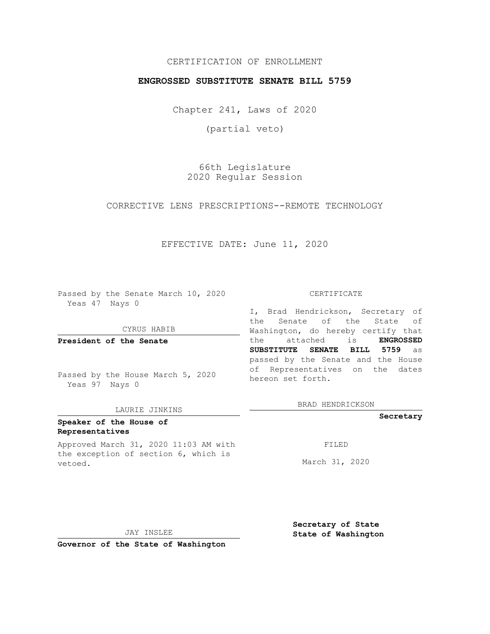## CERTIFICATION OF ENROLLMENT

### **ENGROSSED SUBSTITUTE SENATE BILL 5759**

Chapter 241, Laws of 2020

(partial veto)

66th Legislature 2020 Regular Session

CORRECTIVE LENS PRESCRIPTIONS--REMOTE TECHNOLOGY

EFFECTIVE DATE: June 11, 2020

Passed by the Senate March 10, 2020 Yeas 47 Nays 0

CYRUS HABIB

**President of the Senate**

Passed by the House March 5, 2020 Yeas 97 Nays 0

#### LAURIE JINKINS

## **Speaker of the House of Representatives**

Approved March 31, 2020 11:03 AM with the exception of section 6, which is vetoed.

#### CERTIFICATE

I, Brad Hendrickson, Secretary of the Senate of the State of Washington, do hereby certify that the attached is **ENGROSSED SUBSTITUTE SENATE BILL 5759** as passed by the Senate and the House of Representatives on the dates hereon set forth.

BRAD HENDRICKSON

**Secretary**

FILED

March 31, 2020

JAY INSLEE

**Secretary of State State of Washington**

**Governor of the State of Washington**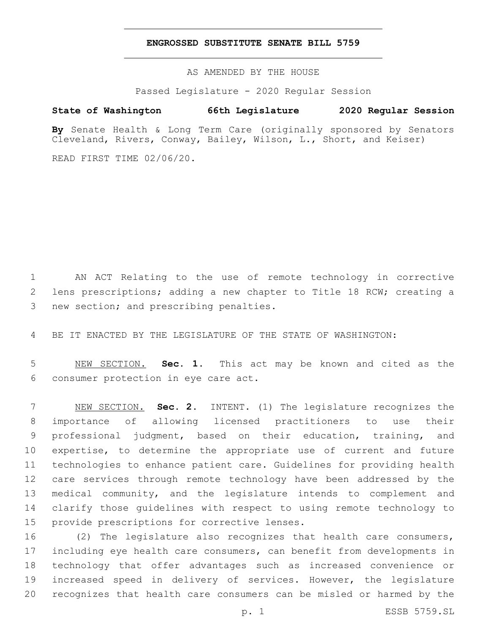### **ENGROSSED SUBSTITUTE SENATE BILL 5759**

AS AMENDED BY THE HOUSE

Passed Legislature - 2020 Regular Session

# **State of Washington 66th Legislature 2020 Regular Session**

**By** Senate Health & Long Term Care (originally sponsored by Senators Cleveland, Rivers, Conway, Bailey, Wilson, L., Short, and Keiser)

READ FIRST TIME 02/06/20.

 AN ACT Relating to the use of remote technology in corrective lens prescriptions; adding a new chapter to Title 18 RCW; creating a 3 new section; and prescribing penalties.

BE IT ENACTED BY THE LEGISLATURE OF THE STATE OF WASHINGTON:

 NEW SECTION. **Sec. 1.** This act may be known and cited as the consumer protection in eye care act.

 NEW SECTION. **Sec. 2.** INTENT. (1) The legislature recognizes the importance of allowing licensed practitioners to use their professional judgment, based on their education, training, and expertise, to determine the appropriate use of current and future technologies to enhance patient care. Guidelines for providing health care services through remote technology have been addressed by the medical community, and the legislature intends to complement and clarify those guidelines with respect to using remote technology to provide prescriptions for corrective lenses.

 (2) The legislature also recognizes that health care consumers, including eye health care consumers, can benefit from developments in technology that offer advantages such as increased convenience or increased speed in delivery of services. However, the legislature recognizes that health care consumers can be misled or harmed by the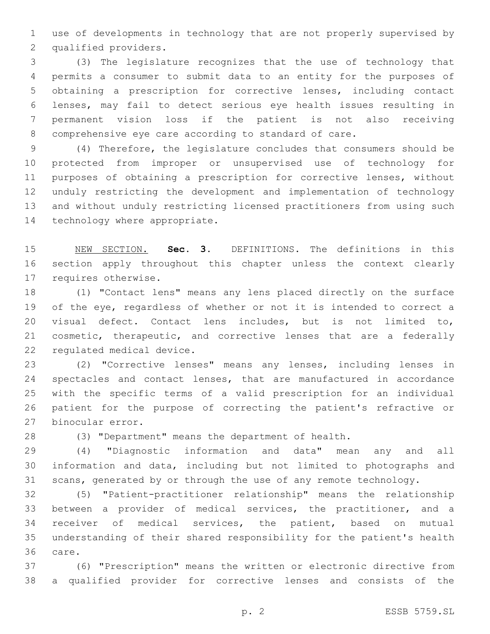use of developments in technology that are not properly supervised by 2 qualified providers.

 (3) The legislature recognizes that the use of technology that permits a consumer to submit data to an entity for the purposes of obtaining a prescription for corrective lenses, including contact lenses, may fail to detect serious eye health issues resulting in permanent vision loss if the patient is not also receiving comprehensive eye care according to standard of care.

 (4) Therefore, the legislature concludes that consumers should be protected from improper or unsupervised use of technology for purposes of obtaining a prescription for corrective lenses, without unduly restricting the development and implementation of technology and without unduly restricting licensed practitioners from using such 14 technology where appropriate.

 NEW SECTION. **Sec. 3.** DEFINITIONS. The definitions in this section apply throughout this chapter unless the context clearly requires otherwise.

 (1) "Contact lens" means any lens placed directly on the surface of the eye, regardless of whether or not it is intended to correct a visual defect. Contact lens includes, but is not limited to, cosmetic, therapeutic, and corrective lenses that are a federally 22 regulated medical device.

 (2) "Corrective lenses" means any lenses, including lenses in spectacles and contact lenses, that are manufactured in accordance with the specific terms of a valid prescription for an individual patient for the purpose of correcting the patient's refractive or 27 binocular error.

(3) "Department" means the department of health.

 (4) "Diagnostic information and data" mean any and all information and data, including but not limited to photographs and scans, generated by or through the use of any remote technology.

 (5) "Patient-practitioner relationship" means the relationship between a provider of medical services, the practitioner, and a receiver of medical services, the patient, based on mutual understanding of their shared responsibility for the patient's health 36 care.

 (6) "Prescription" means the written or electronic directive from a qualified provider for corrective lenses and consists of the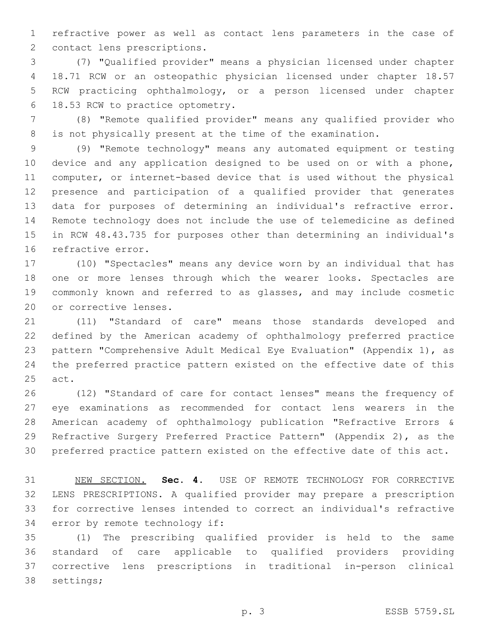refractive power as well as contact lens parameters in the case of 2 contact lens prescriptions.

 (7) "Qualified provider" means a physician licensed under chapter 18.71 RCW or an osteopathic physician licensed under chapter 18.57 RCW practicing ophthalmology, or a person licensed under chapter 18.53 RCW to practice optometry.6

 (8) "Remote qualified provider" means any qualified provider who is not physically present at the time of the examination.

 (9) "Remote technology" means any automated equipment or testing device and any application designed to be used on or with a phone, computer, or internet-based device that is used without the physical presence and participation of a qualified provider that generates data for purposes of determining an individual's refractive error. Remote technology does not include the use of telemedicine as defined in RCW 48.43.735 for purposes other than determining an individual's 16 refractive error.

 (10) "Spectacles" means any device worn by an individual that has 18 one or more lenses through which the wearer looks. Spectacles are commonly known and referred to as glasses, and may include cosmetic 20 or corrective lenses.

 (11) "Standard of care" means those standards developed and defined by the American academy of ophthalmology preferred practice pattern "Comprehensive Adult Medical Eye Evaluation" (Appendix 1), as the preferred practice pattern existed on the effective date of this 25 act.

 (12) "Standard of care for contact lenses" means the frequency of eye examinations as recommended for contact lens wearers in the American academy of ophthalmology publication "Refractive Errors & Refractive Surgery Preferred Practice Pattern" (Appendix 2), as the preferred practice pattern existed on the effective date of this act.

 NEW SECTION. **Sec. 4.** USE OF REMOTE TECHNOLOGY FOR CORRECTIVE LENS PRESCRIPTIONS. A qualified provider may prepare a prescription for corrective lenses intended to correct an individual's refractive error by remote technology if:

 (1) The prescribing qualified provider is held to the same standard of care applicable to qualified providers providing corrective lens prescriptions in traditional in-person clinical 38 settings;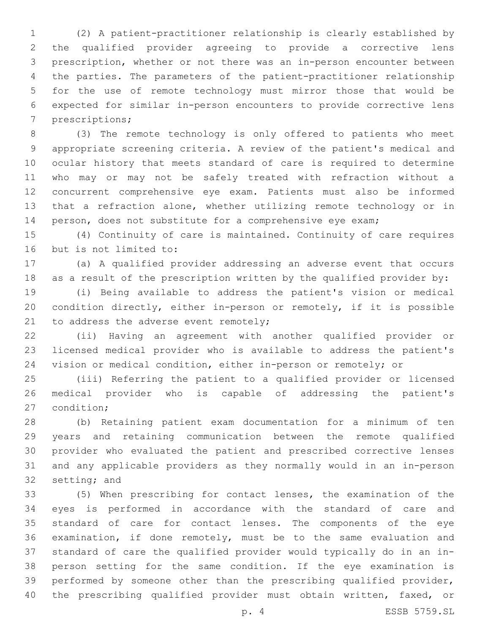(2) A patient-practitioner relationship is clearly established by the qualified provider agreeing to provide a corrective lens prescription, whether or not there was an in-person encounter between the parties. The parameters of the patient-practitioner relationship for the use of remote technology must mirror those that would be expected for similar in-person encounters to provide corrective lens 7 prescriptions;

 (3) The remote technology is only offered to patients who meet appropriate screening criteria. A review of the patient's medical and ocular history that meets standard of care is required to determine who may or may not be safely treated with refraction without a concurrent comprehensive eye exam. Patients must also be informed that a refraction alone, whether utilizing remote technology or in 14 person, does not substitute for a comprehensive eye exam;

 (4) Continuity of care is maintained. Continuity of care requires 16 but is not limited to:

 (a) A qualified provider addressing an adverse event that occurs as a result of the prescription written by the qualified provider by:

 (i) Being available to address the patient's vision or medical condition directly, either in-person or remotely, if it is possible 21 to address the adverse event remotely;

 (ii) Having an agreement with another qualified provider or licensed medical provider who is available to address the patient's vision or medical condition, either in-person or remotely; or

 (iii) Referring the patient to a qualified provider or licensed medical provider who is capable of addressing the patient's 27 condition:

 (b) Retaining patient exam documentation for a minimum of ten years and retaining communication between the remote qualified provider who evaluated the patient and prescribed corrective lenses and any applicable providers as they normally would in an in-person 32 setting; and

 (5) When prescribing for contact lenses, the examination of the eyes is performed in accordance with the standard of care and standard of care for contact lenses. The components of the eye examination, if done remotely, must be to the same evaluation and standard of care the qualified provider would typically do in an in- person setting for the same condition. If the eye examination is performed by someone other than the prescribing qualified provider, the prescribing qualified provider must obtain written, faxed, or

p. 4 ESSB 5759.SL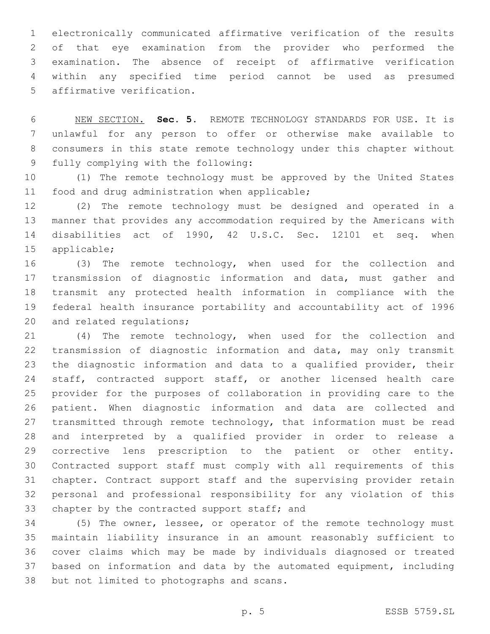electronically communicated affirmative verification of the results of that eye examination from the provider who performed the examination. The absence of receipt of affirmative verification within any specified time period cannot be used as presumed 5 affirmative verification.

 NEW SECTION. **Sec. 5.** REMOTE TECHNOLOGY STANDARDS FOR USE. It is unlawful for any person to offer or otherwise make available to consumers in this state remote technology under this chapter without fully complying with the following:

 (1) The remote technology must be approved by the United States 11 food and drug administration when applicable;

 (2) The remote technology must be designed and operated in a manner that provides any accommodation required by the Americans with disabilities act of 1990, 42 U.S.C. Sec. 12101 et seq. when 15 applicable;

 (3) The remote technology, when used for the collection and 17 transmission of diagnostic information and data, must gather and transmit any protected health information in compliance with the federal health insurance portability and accountability act of 1996 20 and related regulations;

 (4) The remote technology, when used for the collection and transmission of diagnostic information and data, may only transmit the diagnostic information and data to a qualified provider, their 24 staff, contracted support staff, or another licensed health care provider for the purposes of collaboration in providing care to the patient. When diagnostic information and data are collected and transmitted through remote technology, that information must be read and interpreted by a qualified provider in order to release a corrective lens prescription to the patient or other entity. Contracted support staff must comply with all requirements of this chapter. Contract support staff and the supervising provider retain personal and professional responsibility for any violation of this 33 chapter by the contracted support staff; and

 (5) The owner, lessee, or operator of the remote technology must maintain liability insurance in an amount reasonably sufficient to cover claims which may be made by individuals diagnosed or treated based on information and data by the automated equipment, including 38 but not limited to photographs and scans.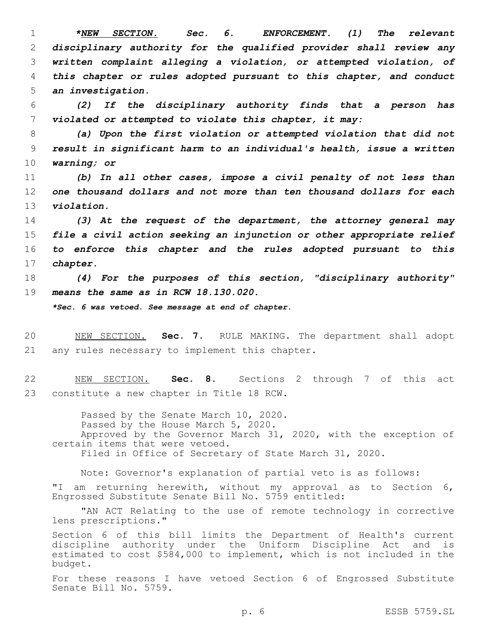*\*NEW SECTION. Sec. 6. ENFORCEMENT. (1) The relevant disciplinary authority for the qualified provider shall review any written complaint alleging a violation, or attempted violation, of this chapter or rules adopted pursuant to this chapter, and conduct an investigation.*

6 *(2) If the disciplinary authority finds that a person has* 7 *violated or attempted to violate this chapter, it may:*

8 *(a) Upon the first violation or attempted violation that did not* 9 *result in significant harm to an individual's health, issue a written* 10 *warning; or*

11 *(b) In all other cases, impose a civil penalty of not less than* 12 *one thousand dollars and not more than ten thousand dollars for each* 13 *violation.*

 *(3) At the request of the department, the attorney general may file a civil action seeking an injunction or other appropriate relief to enforce this chapter and the rules adopted pursuant to this* 17 *chapter.*

18 *(4) For the purposes of this section, "disciplinary authority"* 19 *means the same as in RCW 18.130.020.*

*\*Sec. 6 was vetoed. See message at end of chapter.*

20 NEW SECTION. **Sec. 7.** RULE MAKING. The department shall adopt 21 any rules necessary to implement this chapter.

22 NEW SECTION. **Sec. 8.** Sections 2 through 7 of this act 23 constitute a new chapter in Title 18 RCW.

Passed by the Senate March 10, 2020. Passed by the House March 5, 2020. Approved by the Governor March 31, 2020, with the exception of certain items that were vetoed. Filed in Office of Secretary of State March 31, 2020.

Note: Governor's explanation of partial veto is as follows: "I am returning herewith, without my approval as to Section 6, Engrossed Substitute Senate Bill No. 5759 entitled:

"AN ACT Relating to the use of remote technology in corrective lens prescriptions."

Section 6 of this bill limits the Department of Health's current discipline authority under the Uniform Discipline Act and is estimated to cost \$584,000 to implement, which is not included in the budget.

For these reasons I have vetoed Section 6 of Engrossed Substitute Senate Bill No. 5759.